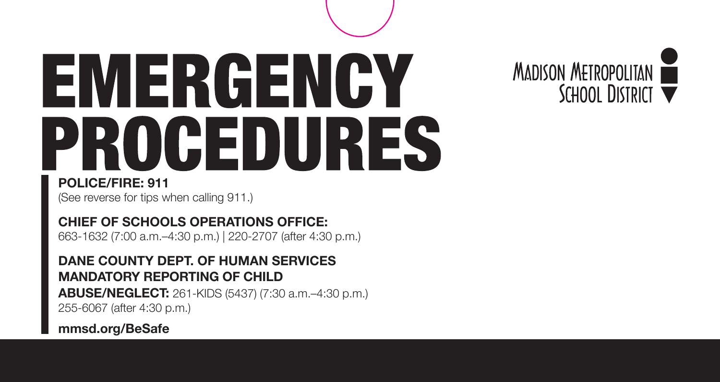# EMERGENCY PROCEDURES



**POLICE/FIRE: 911**

(See reverse for tips when calling 911.)

**CHIEF OF SCHOOLS OPERATIONS OFFICE:**  663-1632 (7:00 a.m.–4:30 p.m.) | 220-2707 (after 4:30 p.m.)

#### **DANE COUNTY DEPT. OF HUMAN SERVICES MANDATORY REPORTING OF CHILD**

**ABUSE/NEGLECT:** 261-KIDS (5437) (7:30 a.m.–4:30 p.m.) 255-6067 (after 4:30 p.m.)

**[mmsd.org/BeSafe](https://mmsd.org/BeSafe)**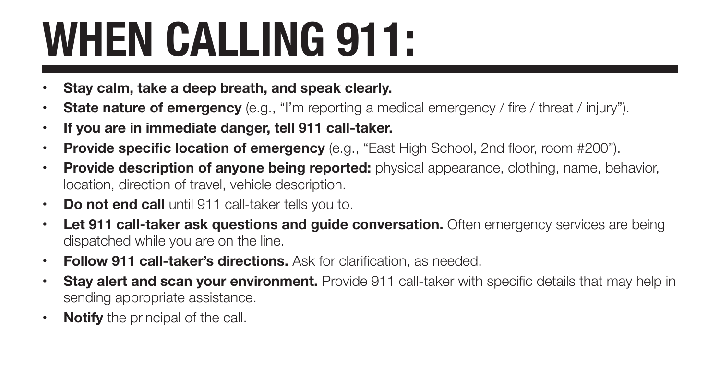## **WHEN CALLING 911:**

- **• Stay calm, take a deep breath, and speak clearly.**
- **• State nature of emergency** (e.g., "I'm reporting a medical emergency / fire / threat / injury").
- **• If you are in immediate danger, tell 911 call-taker.**
- **Provide specific location of emergency** (e.g., "East High School, 2nd floor, room #200").
- **• Provide description of anyone being reported:** physical appearance, clothing, name, behavior, location, direction of travel, vehicle description.
- **• Do not end call** until 911 call-taker tells you to.
- **Let 911 call-taker ask questions and guide conversation.** Often emergency services are being dispatched while you are on the line.
- **• Follow 911 call-taker's directions.** Ask for clarification, as needed.
- **Stay alert and scan your environment.** Provide 911 call-taker with specific details that may help in sending appropriate assistance.
- **• Notify** the principal of the call.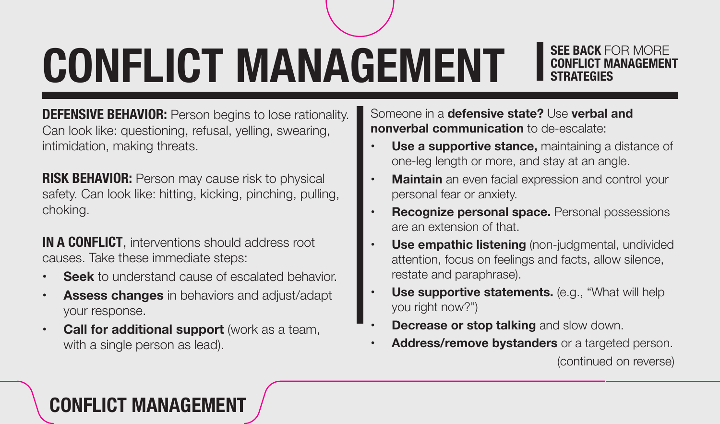## **CONFLICT MANAGEMENT I SEE BACK FOR ALGONAL PROPERTY AND EXPANDING THE BACK FOR ALGONAL PROPERTY AND EXPRESS ARRANT CONFLICT MAND FOR AND EXPANDING AND AND EXPANDING AND AND EXPANDING THAT EGIPS AND AND EXPANDING AND AND E**

## **SEE BACK** FOR MORE

**DEFENSIVE BEHAVIOR:** Person begins to lose rationality. Can look like: questioning, refusal, yelling, swearing, intimidation, making threats.

**RISK BEHAVIOR:** Person may cause risk to physical safety. Can look like: hitting, kicking, pinching, pulling, choking.

**IN A CONFLICT**, interventions should address root causes. Take these immediate steps:

- **• Seek** to understand cause of escalated behavior.
- **• Assess changes** in behaviors and adjust/adapt your response.
- **Call for additional support** (work as a team, with a single person as lead).

Someone in a **defensive state?** Use **verbal and nonverbal communication** to de-escalate:

- **Use a supportive stance, maintaining a distance of** one-leg length or more, and stay at an angle.
- **Maintain** an even facial expression and control your personal fear or anxiety.
- **Recognize personal space.** Personal possessions are an extension of that.
- **Use empathic listening** (non-judgmental, undivided attention, focus on feelings and facts, allow silence, restate and paraphrase).
- **Use supportive statements.** (e.g., "What will help you right now?")
- **Decrease or stop talking and slow down.**
- **Address/remove bystanders** or a targeted person. (continued on reverse)

### **CONFLICT MANAGEMENT**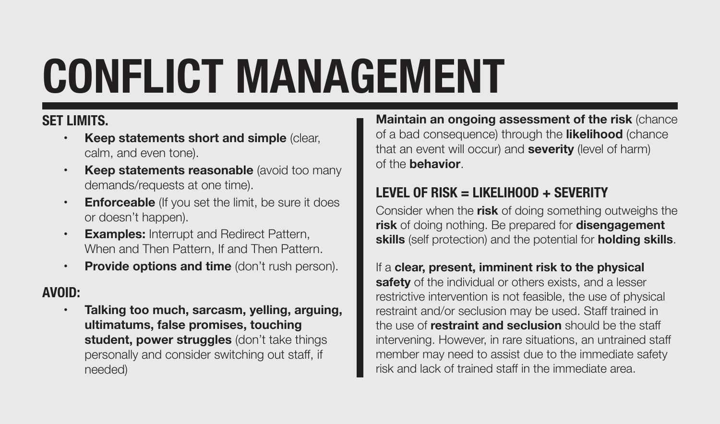## **CONFLICT MANAGEMENT**

#### **SET LIMITS.**

- **Keep statements short and simple (clear,** calm, and even tone).
- **Keep statements reasonable** (avoid too many demands/requests at one time).
- **• Enforceable** (If you set the limit, be sure it does or doesn't happen).
- **• Examples:** Interrupt and Redirect Pattern, When and Then Pattern, If and Then Pattern.
- **Provide options and time** (don't rush person).

#### **AVOID:**

**Talking too much, sarcasm, yelling, arguing, ultimatums, false promises, touching student, power struggles** (don't take things personally and consider switching out staff, if needed)

**Maintain an ongoing assessment of the risk** (chance of a bad consequence) through the **likelihood** (chance that an event will occur) and **severity** (level of harm) of the **behavior**.

#### **LEVEL OF RISK = LIKELIHOOD + SEVERITY**

Consider when the **risk** of doing something outweighs the **risk** of doing nothing. Be prepared for **disengagement skills** (self protection) and the potential for **holding skills**.

#### If a **clear, present, imminent risk to the physical**

**safety** of the individual or others exists, and a lesser restrictive intervention is not feasible, the use of physical restraint and/or seclusion may be used. Staff trained in the use of **restraint and seclusion** should be the staff intervening. However, in rare situations, an untrained staff member may need to assist due to the immediate safety risk and lack of trained staff in the immediate area.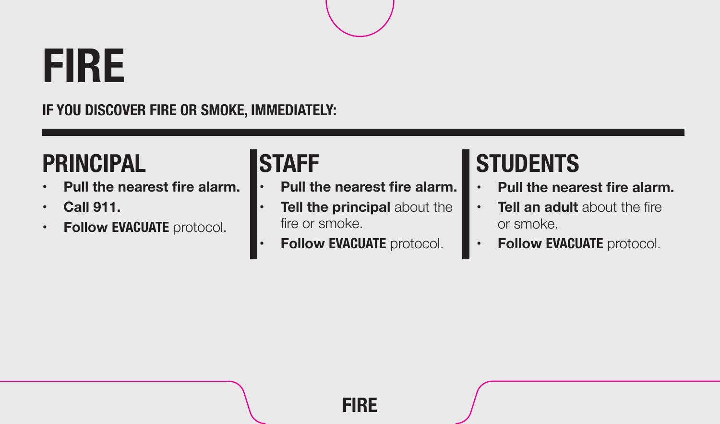## **FIRE**

**IF YOU DISCOVER FIRE OR SMOKE, IMMEDIATELY:** 

## **PRINCIPAL**

- **• Pull the nearest fire alarm.**
- **• Call 911.**
- **• Follow EVACUATE** protocol.

### **STAFF**

- **The nearest fire alarm.**  $\cdot$  Pull the nearest fire alarm.  $\cdot$  Pull the nearest fire alarm. **• Pull the nearest fire alarm.**
	- **Tell the principal about the** fire or smoke.
	- **Follow EVACUATE** protocol.

## **STUDENTS**

- 
- **• Tell an adult** about the fire or smoke.
- **Follow EVACUATE** protocol.

**FIRE**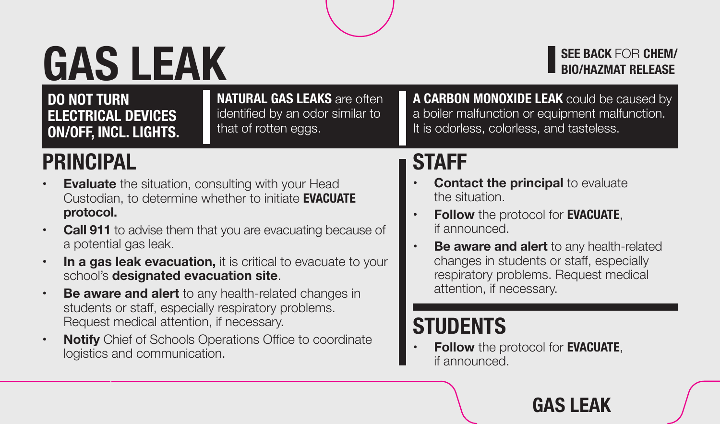## **GAS LEAK**

that of rotten eggs. **ON/OFF, INCL. LIGHTS.** 

**DO NOT TURN NATURAL GAS LEAKS** are often **ELECTRICAL DEVICES** identified by an odor similar to **ON/OFF INCLUSICATS** that of rotten eggs.

**BIO/HAZMAT RELEASE A CARBON MONOXIDE LEAK** could be caused by

**SEE BACK** FOR **CHEM/** 

a boiler malfunction or equipment malfunction. It is odorless, colorless, and tasteless.

### **PRINCIPAL**

- **• Evaluate** the situation, consulting with your Head Custodian, to determine whether to initiate **EVACUATE protocol.**
- **• Call 911** to advise them that you are evacuating because of a potential gas leak.
- **In a gas leak evacuation,** it is critical to evacuate to your school's **designated evacuation site**.
- **• Be aware and alert** to any health-related changes in students or staff, especially respiratory problems. Request medical attention, if necessary.
- **Notify** Chief of Schools Operations Office to coordinate logistics and communication.

**STAFF Contact the principal** to evaluate the situation.

- **Follow** the protocol for **EVACUATE**, if announced.
- **Be aware and alert** to any health-related changes in students or staff, especially respiratory problems. Request medical attention, if necessary.

### **STUDENTS**

**Follow** the protocol for **EVACUATE**, if announced.

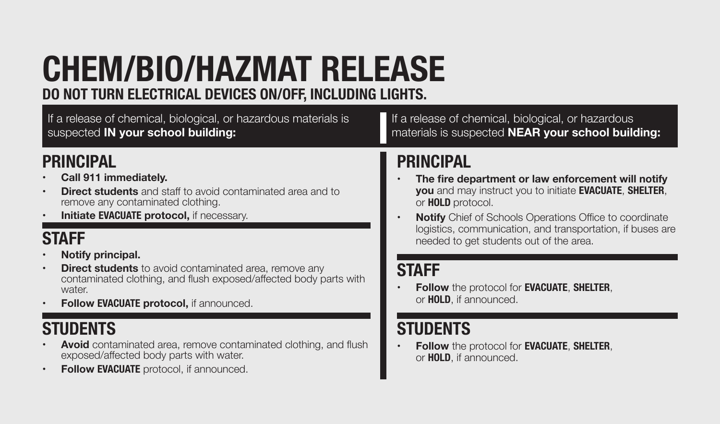### **CHEM/BIO/HAZMAT RELEASE DO NOT TURN ELECTRICAL DEVICES ON/OFF, INCLUDING LIGHTS.**

If a release of chemical, biological, or hazardous materials is suspected **IN your school building:** 

### **PRINCIPAL**

- **• Call 911 immediately.**
- **• Direct students** and staff to avoid contaminated area and to remove any contaminated clothing.
- **Initiate EVACUATE** protocol, if necessary.

### **STAFF**

- **Notify principal.**
- **• Direct students** to avoid contaminated area, remove any contaminated clothing, and flush exposed/affected body parts with water
- **• Follow EVACUATE protocol,** if announced.

### **STUDENTS**

- **Avoid** contaminated area, remove contaminated clothing, and flush exposed/affected body parts with water.
- **• Follow EVACUATE** protocol, if announced.

If a release of chemical, biological, or hazardous materials is suspected **NEAR your school building:** 

### **PRINCIPAL**

- **• The fire department or law enforcement will notify you** and may instruct you to initiate **EVACUATE**, **SHELTER**, or **HOLD** protocol.
- **• Notify** Chief of Schools Operations Office to coordinate logistics, communication, and transportation, if buses are needed to get students out of the area.

### **STAFF**

**• Follow** the protocol for **EVACUATE**, **SHELTER**, or **HOLD**, if announced.

### **STUDENTS**

**• Follow** the protocol for **EVACUATE**, **SHELTER**, or **HOLD**, if announced.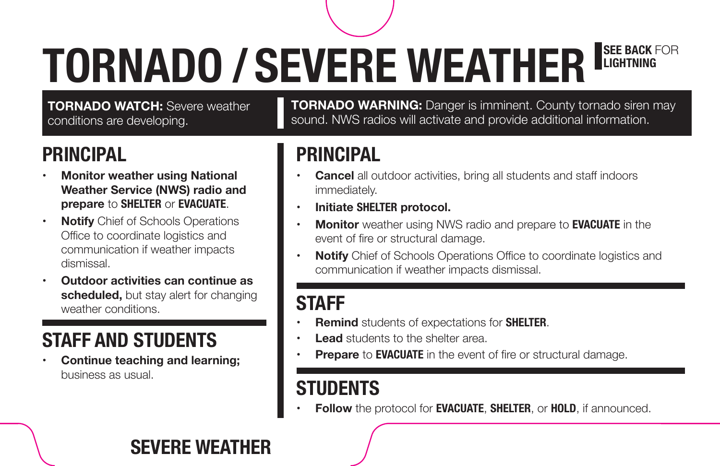### **SEE BACK FOR LIGHTNING TORNADO / SEVERE WEATHER**

**TORNADO WATCH:** Severe weather conditions are developing.

### **PRINCIPAL**

- **Monitor weather using National Weather Service (NWS) radio and prepare** to **SHELTER** or **EVACUATE**.
- **• Notify** Chief of Schools Operations Office to coordinate logistics and communication if weather impacts dismissal.
- **• Outdoor activities can continue as scheduled,** but stay alert for changing weather conditions.

### **STAFF AND STUDENTS**

**Continue teaching and learning;** business as usual.

**TORNADO WARNING:** Danger is imminent. County tornado siren may sound. NWS radios will activate and provide additional information.

### **PRINCIPAL**

- **Cancel** all outdoor activities, bring all students and staff indoors immediately.
- **• Initiate SHELTER protocol.**
- **Monitor** weather using NWS radio and prepare to **EVACUATE** in the event of fire or structural damage.
- **Notify** Chief of Schools Operations Office to coordinate logistics and communication if weather impacts dismissal.

### **STAFF**

- **Remind** students of expectations for **SHELTER**.
- **Lead** students to the shelter area.
- **Prepare** to **EVACUATE** in the event of fire or structural damage.

### **STUDENTS**

**Follow** the protocol for **EVACUATE**, **SHELTER**, or **HOLD**, if announced.

### **SEVERE WEATHER**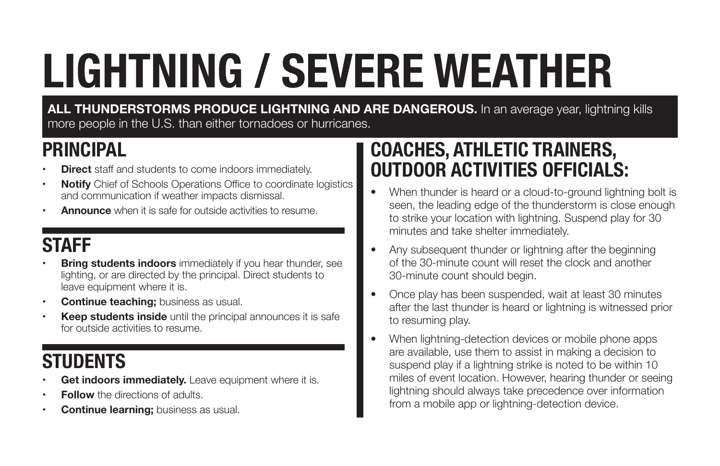## **LIGHTNING / SEVERE WEATHER**

**ALL THUNDERSTORMS PRODUCE LIGHTNING AND ARE DANGEROUS.** In an average year, lightning kills more people in the U.S. than either tornadoes or hurricanes.

### **PRINCIPAL**

- **Direct** staff and students to come indoors immediately.
- **• Notify** Chief of Schools Operations Office to coordinate logistics and communication if weather impacts dismissal.
- **Announce** when it is safe for outside activities to resume.

### **STAFF**

- **Bring students indoors** immediately if you hear thunder, see lighting, or are directed by the principal. Direct students to leave equipment where it is.
- **• Continue teaching;** business as usual.
- **• Keep students inside** until the principal announces it is safe for outside activities to resume.

### **STUDENTS**

- Get indoors immediately. Leave equipment where it is.
- **Follow** the directions of adults.
- **Continue learning;** business as usual.

### **COACHES, ATHLETIC TRAINERS, OUTDOOR ACTIVITIES OFFICIALS:**

- When thunder is heard or a cloud-to-ground lightning bolt is seen, the leading edge of the thunderstorm is close enough to strike your location with lightning. Suspend play for 30 minutes and take shelter immediately.
- Any subsequent thunder or lightning after the beginning of the 30-minute count will reset the clock and another 30-minute count should begin.
- Once play has been suspended, wait at least 30 minutes after the last thunder is heard or lightning is witnessed prior to resuming play.
- When lightning-detection devices or mobile phone apps are available, use them to assist in making a decision to suspend play if a lightning strike is noted to be within 10 miles of event location. However, hearing thunder or seeing lightning should always take precedence over information from a mobile app or lightning-detection device.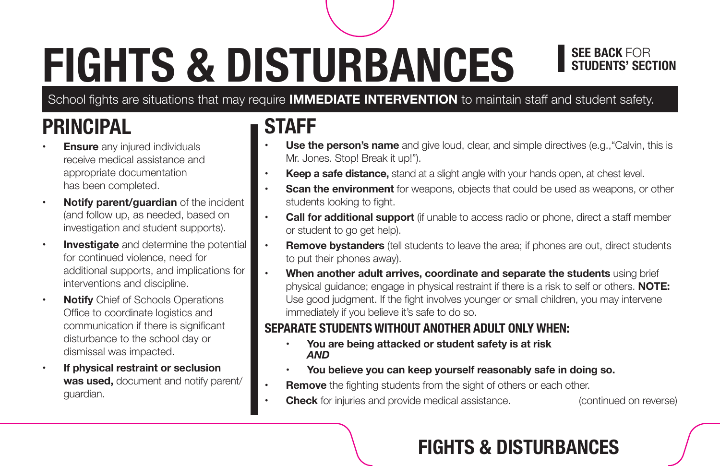## **FIGHTS & DISTURBANCES**

## **SEE BACK FOR<br>STUDENTS' SECTION**

School fights are situations that may require **IMMEDIATE INTERVENTION** to maintain staff and student safety.

### **PRINCIPAL**

- **Ensure** any injured individuals receive medical assistance and appropriate documentation has been completed.
- **• Notify parent/guardian** of the incident (and follow up, as needed, based on investigation and student supports).
- **• Investigate** and determine the potential for continued violence, need for additional supports, and implications for interventions and discipline.
- **• Notify** Chief of Schools Operations Office to coordinate logistics and communication if there is significant disturbance to the school day or dismissal was impacted.
- **• If physical restraint or seclusion was used,** document and notify parent/ guardian.

### **STAFF**

- **Use the person's name** and give loud, clear, and simple directives (e.g., "Calvin, this is Mr. Jones. Stop! Break it up!").
- **Keep a safe distance,** stand at a slight angle with your hands open, at chest level.
- **Scan the environment** for weapons, objects that could be used as weapons, or other students looking to fight.
- **• Call for additional support** (if unable to access radio or phone, direct a staff member or student to go get help).
- to put their phones away). **• Remove bystanders** (tell students to leave the area; if phones are out, direct students
- **When another adult arrives, coordinate and separate the students using brief** physical guidance; engage in physical restraint if there is a risk to self or others. **NOTE:**  Use good judgment. If the fight involves younger or small children, you may intervene immediately if you believe it's safe to do so.

#### **SEPARATE STUDENTS WITHOUT ANOTHER ADULT ONLY WHEN:**

- **• You are being attacked or student safety is at risk** *AND*
- You believe you can keep yourself reasonably safe in doing so.
- **Remove** the fighting students from the sight of others or each other.
- **Check** for injuries and provide medical assistance. (continued on reverse)

### **FIGHTS & DISTURBANCES**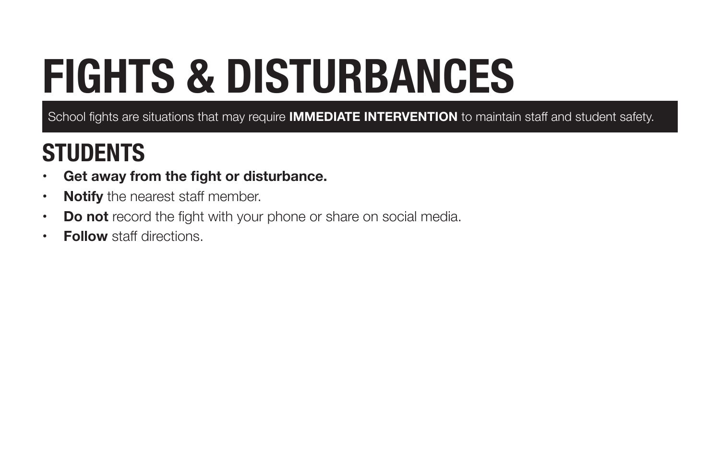## **FIGHTS & DISTURBANCES**

School fights are situations that may require **IMMEDIATE INTERVENTION** to maintain staff and student safety.

- **• Get away from the fight or disturbance.**
- **• Notify** the nearest staff member.
- **Do not** record the fight with your phone or share on social media.
- **• Follow** staff directions.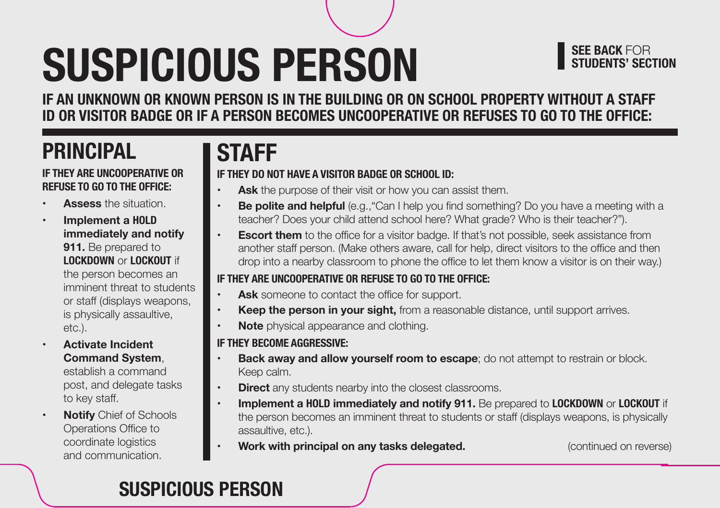## **SUSPICIOUS PERSON**

### **SEE BACK FOR<br>STUDENTS' SECTION**

**IF AN UNKNOWN OR KNOWN PERSON IS IN THE BUILDING OR ON SCHOOL PROPERTY WITHOUT A STAFF ID OR VISITOR BADGE OR IF A PERSON BECOMES UNCOOPERATIVE OR REFUSES TO GO TO THE OFFICE:** 

### **PRINCIPAL**

#### **IF THEY ARE UNCOOPERATIVE OR REFUSE TO GO TO THE OFFICE:**

- **Assess the situation**
- **• Implement a HOLD immediately and notify 911.** Be prepared to **LOCKDOWN** or **LOCKOUT** if the person becomes an imminent threat to students or staff (displays weapons, is physically assaultive, etc.).

**• Activate Incident Command System**,

establish a command post, and delegate tasks to key staff.

**Notify** Chief of Schools Operations Office to coordinate logistics and communication.

### **STAFF**

#### **IF THEY DO NOT HAVE A VISITOR BADGE OR SCHOOL ID:**

- **Ask** the purpose of their visit or how you can assist them.
- **Be polite and helpful** (e.g., "Can I help you find something? Do you have a meeting with a teacher? Does your child attend school here? What grade? Who is their teacher?").
- **Escort them** to the office for a visitor badge. If that's not possible, seek assistance from another staff person. (Make others aware, call for help, direct visitors to the office and then drop into a nearby classroom to phone the office to let them know a visitor is on their way.)

#### **IF THEY ARE UNCOOPERATIVE OR REFUSE TO GO TO THE OFFICE:**

- **• Ask** someone to contact the office for support.
- **Keep the person in your sight,** from a reasonable distance, until support arrives.
- **Note** physical appearance and clothing.

#### **IF THEY BECOME AGGRESSIVE:**

- **Back away and allow yourself room to escape;** do not attempt to restrain or block. Keep calm.
- **Direct** any students nearby into the closest classrooms.
- **• Implement a HOLD immediately and notify 911.** Be prepared to **LOCKDOWN** or **LOCKOUT** if the person becomes an imminent threat to students or staff (displays weapons, is physically assaultive, etc.).
- **Work with principal on any tasks delegated. Continued on reverse**) **(continued on reverse)**

### **SUSPICIOUS PERSON**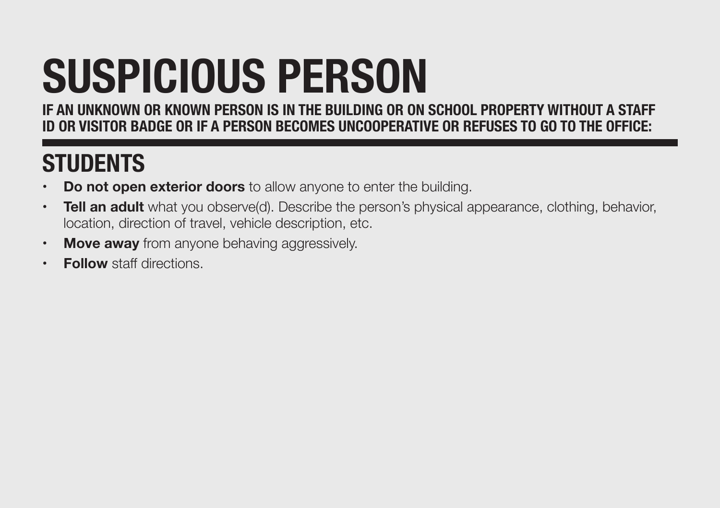## **SUSPICIOUS PERSON**

**IF AN UNKNOWN OR KNOWN PERSON IS IN THE BUILDING OR ON SCHOOL PROPERTY WITHOUT A STAFF ID OR VISITOR BADGE OR IF A PERSON BECOMES UNCOOPERATIVE OR REFUSES TO GO TO THE OFFICE:** 

- **Do not open exterior doors** to allow anyone to enter the building.
- **Tell an adult** what you observe(d). Describe the person's physical appearance, clothing, behavior, location, direction of travel, vehicle description, etc.
- **• Move away** from anyone behaving aggressively.
- **• Follow** staff directions.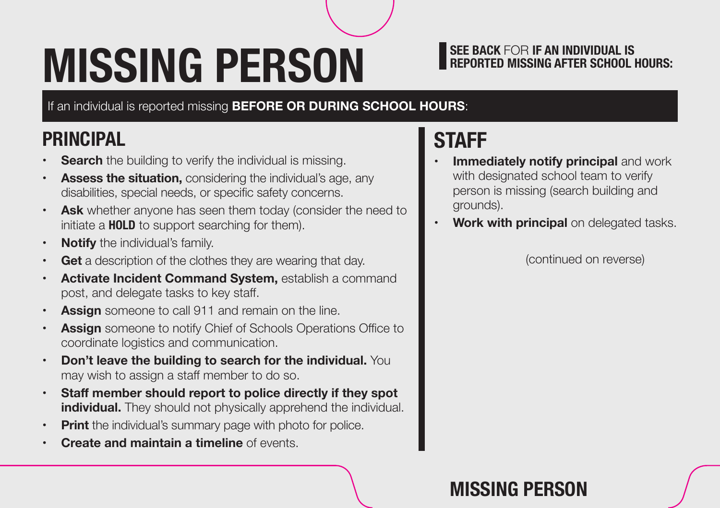## **MISSING PERSON BEPORTED MISSING AFTER SCHOOL HOURS:**

If an individual is reported missing **BEFORE OR DURING SCHOOL HOURS**:

### **PRINCIPAL**

- **Search** the building to verify the individual is missing.
- **Assess the situation, considering the individual's age, any** disabilities, special needs, or specific safety concerns.
- **Ask** whether anyone has seen them today (consider the need to initiate a **HOLD** to support searching for them).
- **• Notify** the individual's family.
- **• Get** a description of the clothes they are wearing that day.
- **• Activate Incident Command System,** establish a command post, and delegate tasks to key staff.
- **• Assign** someone to call 911 and remain on the line.
- **• Assign** someone to notify Chief of Schools Operations Office to coordinate logistics and communication.
- **• Don't leave the building to search for the individual.** You may wish to assign a staff member to do so.
- **• Staff member should report to police directly if they spot individual.** They should not physically apprehend the individual.
- **• Print** the individual's summary page with photo for police.
- **• Create and maintain a timeline** of events.

### **STAFF**

- **Immediately notify principal and work** with designated school team to verify person is missing (search building and grounds).
- **• Work with principal** on delegated tasks.

(continued on reverse)

### **MISSING PERSON**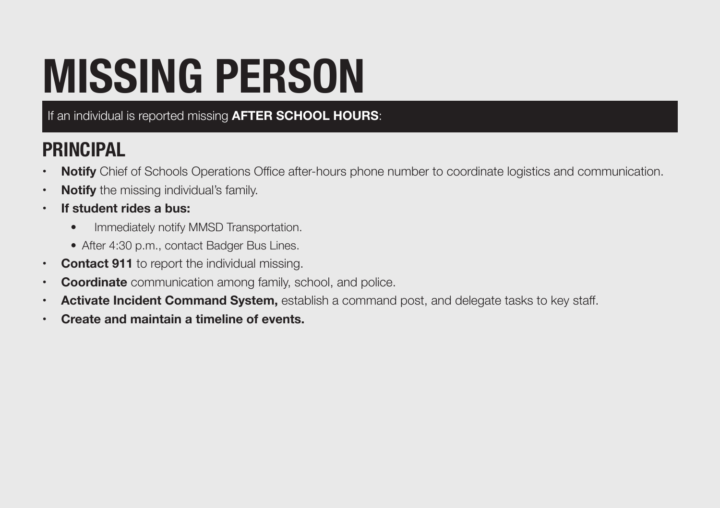## **MISSING PERSON**

If an individual is reported missing **AFTER SCHOOL HOURS**:

### **PRINCIPAL**

- **• Notify** Chief of Schools Operations Office after-hours phone number to coordinate logistics and communication.
- **• Notify** the missing individual's family.
- **• If student rides a bus:** 
	- Immediately notify MMSD Transportation.
	- After 4:30 p.m., contact Badger Bus Lines.
- **• Contact 911** to report the individual missing.
- **• Coordinate** communication among family, school, and police.
- **• Activate Incident Command System,** establish a command post, and delegate tasks to key staff.
- **• Create and maintain a timeline of events.**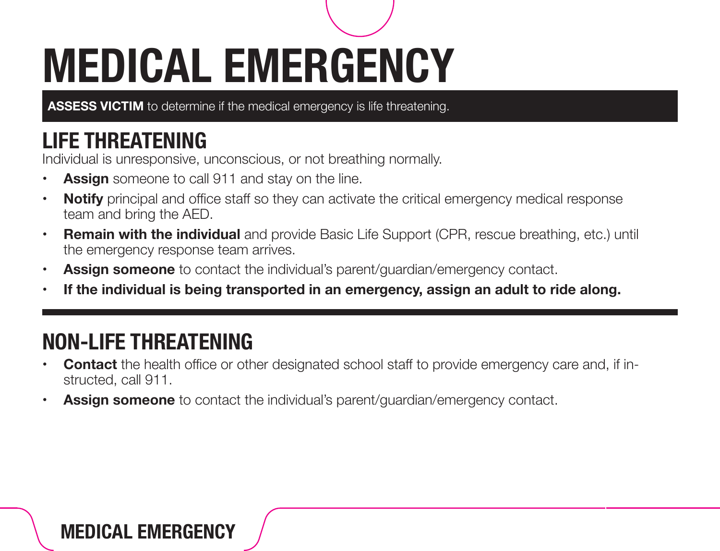## **MEDICAL EMERGENCY**

**ASSESS VICTIM** to determine if the medical emergency is life threatening.

### **LIFE THREATENING**

Individual is unresponsive, unconscious, or not breathing normally.

- **• Assign** someone to call 911 and stay on the line.
- **Notify** principal and office staff so they can activate the critical emergency medical response team and bring the AED.
- **• Remain with the individual** and provide Basic Life Support (CPR, rescue breathing, etc.) until the emergency response team arrives.
- **• Assign someone** to contact the individual's parent/guardian/emergency contact.
- **• If the individual is being transported in an emergency, assign an adult to ride along.**

### **NON-LIFE THREATENING**

- **• Contact** the health office or other designated school staff to provide emergency care and, if instructed, call 911.
- **• Assign someone** to contact the individual's parent/guardian/emergency contact.

### **MEDICAL EMERGENCY**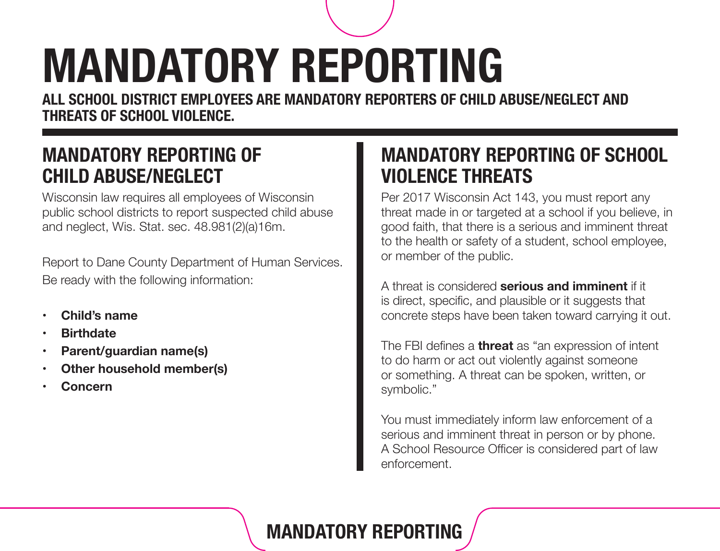## **MANDATORY REPORTING**

**ALL SCHOOL DISTRICT EMPLOYEES ARE MANDATORY REPORTERS OF CHILD ABUSE/NEGLECT AND THREATS OF SCHOOL VIOLENCE.** 

### **MANDATORY REPORTING OF CHILD ABUSE/NEGLECT**

Wisconsin law requires all employees of Wisconsin public school districts to report suspected child abuse and neglect, Wis. Stat. sec. 48.981(2)(a)16m.

Report to Dane County Department of Human Services. Be ready with the following information:

- **• Child's name**
- **• Birthdate**
- **Parent/guardian name(s)**
- **Other household member(s)**
- **• Concern**

### **MANDATORY REPORTING OF SCHOOL VIOLENCE THREATS**

Per 2017 Wisconsin Act 143, you must report any threat made in or targeted at a school if you believe, in good faith, that there is a serious and imminent threat to the health or safety of a student, school employee, or member of the public.

A threat is considered **serious and imminent** if it is direct, specific, and plausible or it suggests that concrete steps have been taken toward carrying it out.

The FBI defines a **threat** as "an expression of intent to do harm or act out violently against someone or something. A threat can be spoken, written, or symbolic."

You must immediately inform law enforcement of a serious and imminent threat in person or by phone. A School Resource Officer is considered part of law enforcement.

### **MANDATORY REPORTING**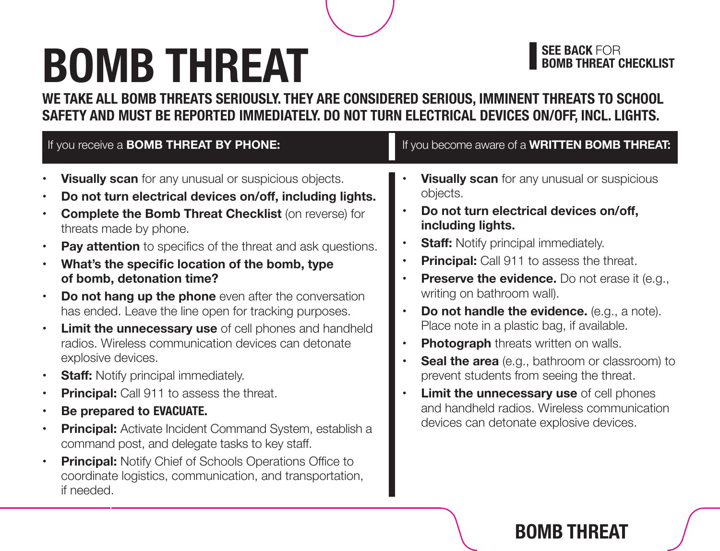## **BOMB THREAT**

## **SEE BACK FOR<br>BOMB THREAT CHECKLIST**

**WE TAKE ALL BOMB THREATS SERIOUSLY. THEY ARE CONSIDERED SERIOUS, IMMINENT THREATS TO SCHOOL SAFETY AND MUST BE REPORTED IMMEDIATELY. DO NOT TURN ELECTRICAL DEVICES ON/OFF, INCL. LIGHTS.** 

| If you receive a <b>BOMB THREAT BY PHONE:</b>                                                                                                                                                                                                                                                                                                                                                                                                                                                                                                                                                                                                                                                                                                                                                                                                                                                                                                                                                                                                                                                                                                                             | If you become aware of a <b>WRITTEN BOMB THREAT:</b>                                                                                                                                                                                                                                                                                                                                                                                                                                                                                                                                                                                                                                                                                                                                                           |
|---------------------------------------------------------------------------------------------------------------------------------------------------------------------------------------------------------------------------------------------------------------------------------------------------------------------------------------------------------------------------------------------------------------------------------------------------------------------------------------------------------------------------------------------------------------------------------------------------------------------------------------------------------------------------------------------------------------------------------------------------------------------------------------------------------------------------------------------------------------------------------------------------------------------------------------------------------------------------------------------------------------------------------------------------------------------------------------------------------------------------------------------------------------------------|----------------------------------------------------------------------------------------------------------------------------------------------------------------------------------------------------------------------------------------------------------------------------------------------------------------------------------------------------------------------------------------------------------------------------------------------------------------------------------------------------------------------------------------------------------------------------------------------------------------------------------------------------------------------------------------------------------------------------------------------------------------------------------------------------------------|
| Visually scan for any unusual or suspicious objects.<br>$\bullet$<br>Do not turn electrical devices on/off, including lights.<br>$\bullet$<br><b>Complete the Bomb Threat Checklist (on reverse) for</b><br>$\bullet$<br>threats made by phone.<br><b>Pay attention</b> to specifics of the threat and ask questions.<br>$\bullet$<br>What's the specific location of the bomb, type<br>$\bullet$<br>of bomb, detonation time?<br>Do not hang up the phone even after the conversation<br>$\bullet$<br>has ended. Leave the line open for tracking purposes.<br>Limit the unnecessary use of cell phones and handheld<br>$\bullet$<br>radios. Wireless communication devices can detonate<br>explosive devices.<br><b>Staff:</b> Notify principal immediately.<br>$\bullet$<br><b>Principal:</b> Call 911 to assess the threat.<br>$\bullet$<br>Be prepared to EVACUATE.<br>$\bullet$<br>Principal: Activate Incident Command System, establish a<br>$\bullet$<br>command post, and delegate tasks to key staff.<br><b>Principal:</b> Notify Chief of Schools Operations Office to<br>$\bullet$<br>coordinate logistics, communication, and transportation,<br>if needed. | <b>Visually scan</b> for any unusual or suspicious<br>objects.<br>Do not turn electrical devices on/off,<br>$\bullet$<br>including lights.<br><b>Staff:</b> Notify principal immediately.<br>$\bullet$<br>Principal: Call 911 to assess the threat.<br>$\bullet$<br><b>Preserve the evidence.</b> Do not erase it (e.g.,<br>$\bullet$<br>writing on bathroom wall).<br>Do not handle the evidence. (e.g., a note).<br>$\bullet$<br>Place note in a plastic bag, if available.<br><b>Photograph</b> threats written on walls.<br>$\bullet$<br><b>Seal the area</b> (e.g., bathroom or classroom) to<br>$\bullet$<br>prevent students from seeing the threat.<br>Limit the unnecessary use of cell phones<br>$\bullet$<br>and handheld radios. Wireless communication<br>devices can detonate explosive devices. |

### **BOMB THREAT**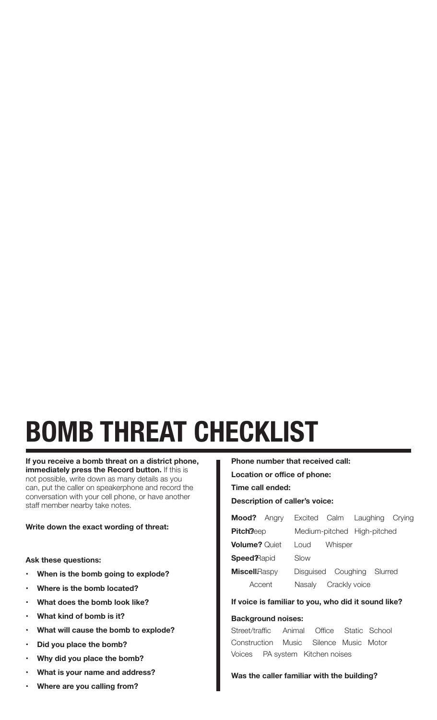# **BOMB THREAT CHECKLIST**

**If you receive a bomb threat on a district phone, immediately press the Record button.** If this is not possible, write down as many details as you can, put the caller on speakerphone and record the conversation with your cell phone, or have another staff member nearby take notes.

#### **Write down the exact wording of threat:**

#### **Ask these questions:**

- **When is the bomb going to explode?**
- **Where is the bomb located?**
- **What does the bomb look like?**
- **• What kind of bomb is it?**
- **• What will cause the bomb to explode?**
- **• Did you place the bomb?**
- **• Why did you place the bomb?**
- **What is your name and address?**
- **Where are you calling from?**

 **Location or office of phone: Time call ended: Description of caller's voice: Mood?** Angry Excited Calm Laughing Crying Pitch<sup>?</sup> Deep Medium-pitched High-pitched **Volume?** Quiet Loud Whisper **Speed?** Rapid Slow **Miscell**Raspy Disguised Coughing Slurred

**Phone number that received call:** 

### **If voice is familiar to you, who did it sound like?**

Accent Nasaly Crackly voice

#### **Background noises:**

Construction Music **Voices** Street/traffic Animal Office Static School Silence Music Motor PA system Kitchen noises

#### **Was the caller familiar with the building?**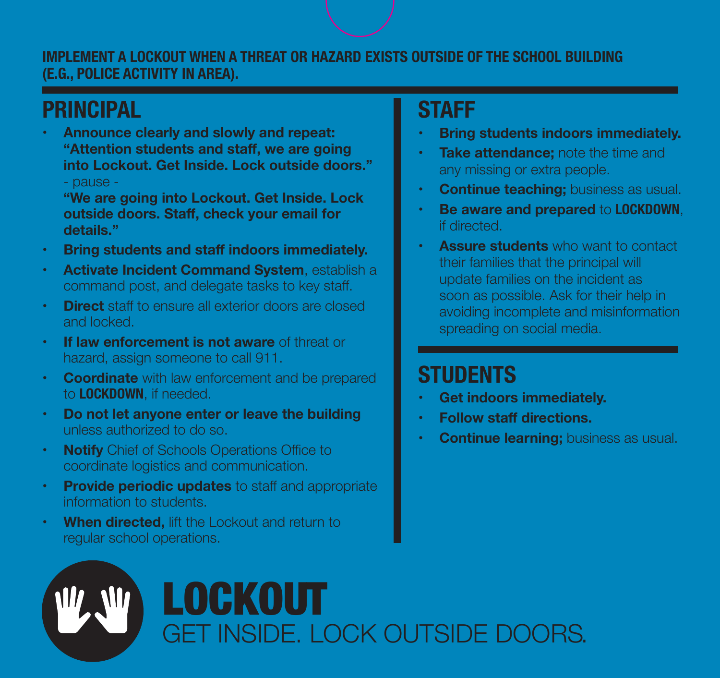#### **IMPLEMENT A LOCKOUT WHEN A THREAT OR HAZARD EXISTS OUTSIDE OF THE SCHOOL BUILDING (E.G., POLICE ACTIVITY IN AREA).**

### **PRINCIPAL**

 **"Attention students and staff, we are going**  - pause - **• Announce clearly and slowly and repeat: into Lockout. Get Inside. Lock outside doors."** 

 **outside doors. Staff, check your email for "We are going into Lockout. Get Inside. Lock details."** 

- **• Bring students and staff indoors immediately.**
- **Activate Incident Command System, establish a** command post, and delegate tasks to key staff.
- **Direct** staff to ensure all exterior doors are closed and locked.
- **If law enforcement is not aware** of threat or hazard, assign someone to call 911.
- **Coordinate** with law enforcement and be prepared to **LOCKDOWN**, if needed.
- **Do not let anyone enter or leave the building** unless authorized to do so.
- **Notify** Chief of Schools Operations Office to coordinate logistics and communication.
- **Provide periodic updates** to staff and appropriate information to students.
- **When directed, lift the Lockout and return to** regular school operations.

### **STAFF**

- **Bring students indoors immediately.**
- **Take attendance:** note the time and any missing or extra people.
- **Continue teaching;** business as usual.
- **Be aware and prepared to LOCKDOWN,** if directed.
- **Assure students** who want to contact their families that the principal will update families on the incident as soon as possible. Ask for their help in avoiding incomplete and misinformation spreading on social media.

- **Get indoors immediately.**
- **• Follow staff directions.**
- **Continue learning;** business as usual.

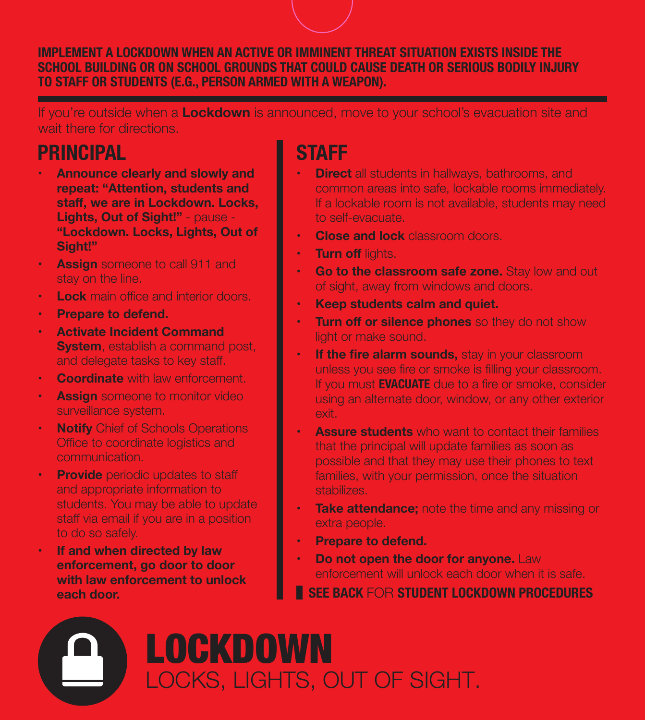#### **IMPLEMENT A LOCKDOWN WHEN AN ACTIVE OR IMMINENT THREAT SITUATION EXISTS INSIDE THE SCHOOL BUILDING OR ON SCHOOL GROUNDS THAT COULD CAUSE DEATH OR SERIOUS BODILY INJURY TO STAFF OR STUDENTS (E.G., PERSON ARMED WITH A WEAPON).**

If you're outside when a **Lockdown** is announced, move to your school's evacuation site and wait there for directions.

### **PRINCIPAL**

- **staff, we are in Lockdown. Locks, Announce clearly and slowly and repeat: "Attention, students and Lights, Out of Sight!"** - pause - **"Lockdown. Locks, Lights, Out of Sight!"**
- **Assign** someone to call 911 and stay on the line.
- **Lock** main office and interior doors.
- **Prepare to defend.**
- **Activate Incident Command System**, establish a command post, and delegate tasks to key staff.
- **Coordinate** with law enforcement.
- **Assign** someone to monitor video surveillance system.
- **Notify** Chief of Schools Operations Office to coordinate logistics and communication.
- **Provide** periodic updates to staff and appropriate information to students. You may be able to update staff via email if you are in a position to do so safely.
- **If and when directed by law enforcement, go door to door with law enforcement to unlock each door.**

### **STAFF**

- **Direct** all students in hallways, bathrooms, and common areas into safe, lockable rooms immediately. If a lockable room is not available, students may need to self-evacuate.
- **• Close and lock** classroom doors.
- **• Turn off** lights.
- **Go to the classroom safe zone.** Stay low and out of sight, away from windows and doors.
- **• Keep students calm and quiet.**
- **Turn off or silence phones** so they do not show light or make sound.
- **If the fire alarm sounds,** stay in your classroom unless you see fire or smoke is filling your classroom. If you must **EVACUATE** due to a fire or smoke, consider using an alternate door, window, or any other exterior exit.
- **Assure students** who want to contact their families that the principal will update families as soon as possible and that they may use their phones to text families, with your permission, once the situation stabilizes.
- **Take attendance;** note the time and any missing or extra people.
- **Prepare to defend.**
- **Do not open the door for anyone.** Law enforcement will unlock each door when it is safe.
- **SEE BACK** FOR **STUDENT LOCKDOWN PROCEDURES**

## **LOCKDOWN** LOCKS, LIGHTS, OUT OF SIGHT.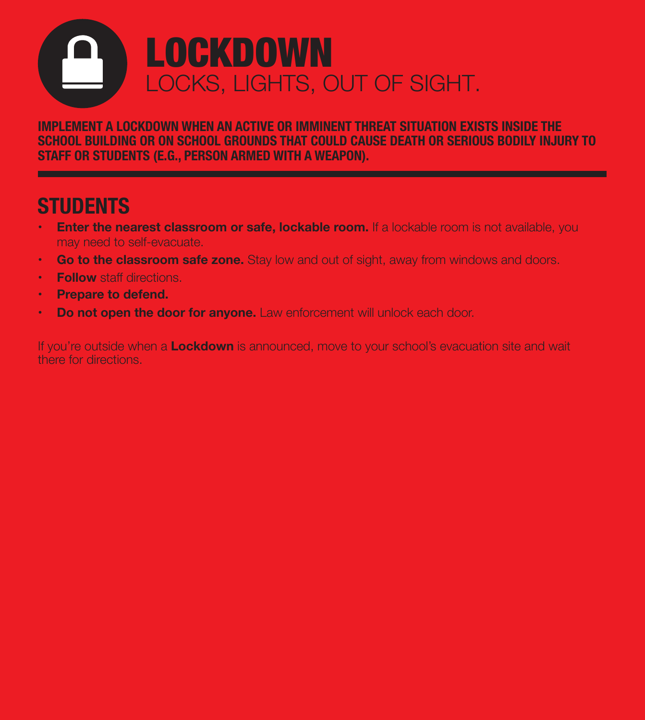## **LOCKDOWN** LOCKS, LIGHTS, OUT OF SIGHT.

**IMPLEMENT A LOCKDOWN WHEN AN ACTIVE OR IMMINENT THREAT SITUATION EXISTS INSIDE THE SCHOOL BUILDING OR ON SCHOOL GROUNDS THAT COULD CAUSE DEATH OR SERIOUS BODILY INJURY TO STAFF OR STUDENTS (E.G., PERSON ARMED WITH A WEAPON).** 

### **STUDENTS**

- **Enter the nearest classroom or safe, lockable room.** If a lockable room is not available, you may need to self-evacuate.
- **Go to the classroom safe zone.** Stay low and out of sight, away from windows and doors.
- **• Follow** staff directions.
- **• Prepare to defend.**
- **Do not open the door for anyone.** Law enforcement will unlock each door.

If you're outside when a **Lockdown** is announced, move to your school's evacuation site and wait there for directions.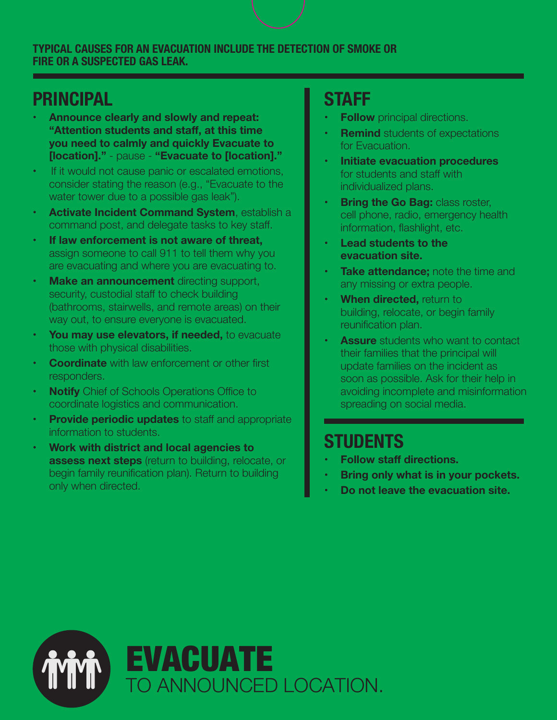#### **TYPICAL CAUSES FOR AN EVACUATION INCLUDE THE DETECTION OF SMOKE OR FIRE OR A SUSPECTED GAS LEAK.**

### **PRINCIPAL**

- **"Attention students and staff, at this time • Announce clearly and slowly and repeat: you need to calmly and quickly Evacuate to [location]."** - pause - **"Evacuate to [location]."**
- If it would not cause panic or escalated emotions, consider stating the reason (e.g., "Evacuate to the water tower due to a possible gas leak").
- **Activate Incident Command System, establish a** command post, and delegate tasks to key staff.
- **If law enforcement is not aware of threat,** assign someone to call 911 to tell them why you are evacuating and where you are evacuating to.
- **Make an announcement** directing support, security, custodial staff to check building (bathrooms, stairwells, and remote areas) on their way out, to ensure everyone is evacuated.
- You may use elevators, if needed, to evacuate those with physical disabilities.
- **Coordinate** with law enforcement or other first responders.
- **Notify** Chief of Schools Operations Office to coordinate logistics and communication.
- **Provide periodic updates** to staff and appropriate information to students.
- **Work with district and local agencies to assess next steps** (return to building, relocate, or begin family reunification plan). Return to building only when directed.

### **STAFF**

- **Follow** principal directions.
- **Remind** students of expectations for Evacuation.
- **Initiate evacuation procedures** for students and staff with individualized plans.
- **Bring the Go Bag:** *class roster*, cell phone, radio, emergency health information, flashlight, etc.
- **Lead students to the evacuation site.**
- **Take attendance;** note the time and any missing or extra people.
- **When directed, return to** building, relocate, or begin family reunification plan.
- **Assure** students who want to contact their families that the principal will update families on the incident as soon as possible. Ask for their help in avoiding incomplete and misinformation spreading on social media.

- **• Follow staff directions.**
- **Bring only what is in your pockets.**
- **Do not leave the evacuation site.**

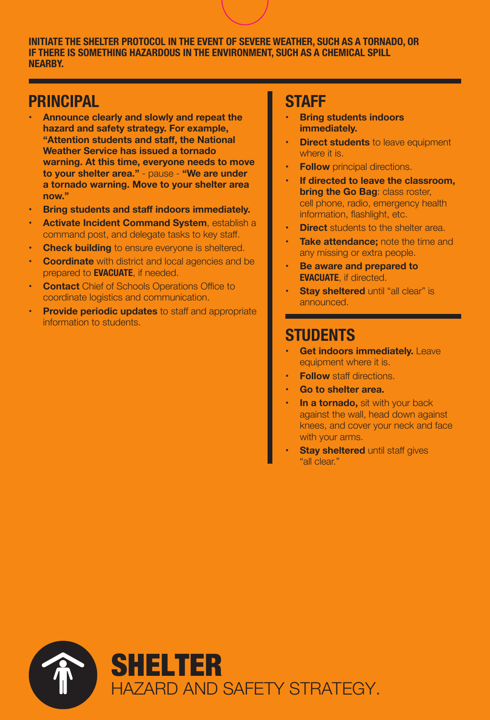**INITIATE THE SHELTER PROTOCOL IN THE EVENT OF SEVERE WEATHER, SUCH AS A TORNADO, OR IF THERE IS SOMETHING HAZARDOUS IN THE ENVIRONMENT, SUCH AS A CHEMICAL SPILL NEARBY.** 

### **PRINCIPAL**

- **"Attention students and staff, the National Announce clearly and slowly and repeat the hazard and safety strategy. For example, Weather Service has issued a tornado warning. At this time, everyone needs to move to your shelter area."** - pause - **"We are under a tornado warning. Move to your shelter area now."**
- **• Bring students and staff indoors immediately.**
- **Activate Incident Command System, establish a** command post, and delegate tasks to key staff.
- **Check building** to ensure everyone is sheltered.
- **Coordinate** with district and local agencies and be prepared to **EVACUATE**, if needed.
- **Contact** Chief of Schools Operations Office to coordinate logistics and communication.
- **Provide periodic updates** to staff and appropriate information to students.

### **STAFF**

- **Bring students indoors immediately.**
- **Direct students** to leave equipment where it is.
- **Follow** principal directions.
- **If directed to leave the classroom, bring the Go Bag: class roster,** cell phone, radio, emergency health information, flashlight, etc.
- **Direct** students to the shelter area.
- **Take attendance;** note the time and any missing or extra people.
- **Be aware and prepared to EVACUATE**, if directed.
- **Stay sheltered** until "all clear" is announced.

- **Get indoors immediately.** Leave equipment where it is.
- **Follow** staff directions.
- **Go to shelter area.**
- **In a tornado**, sit with your back against the wall, head down against knees, and cover your neck and face with your arms.
- **Stay sheltered** until staff gives "all clear."